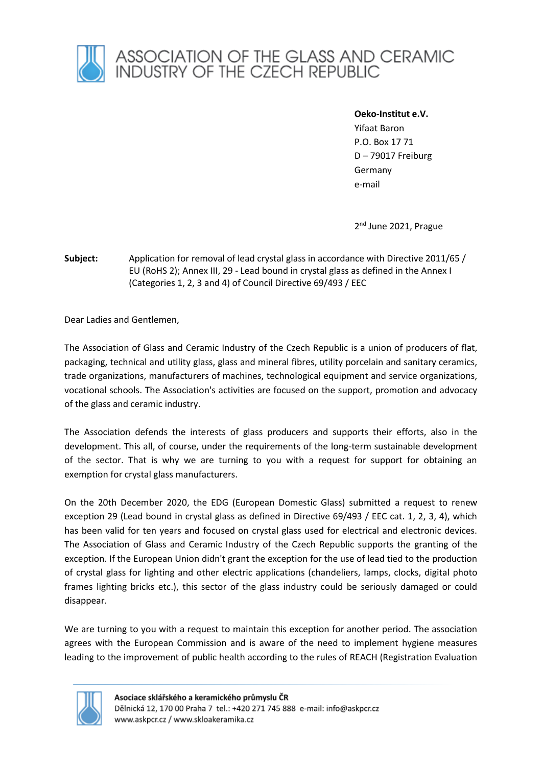

**Oeko-Institut e.V.** 

Yifaat Baron P.O. Box 17 71 D – 79017 Freiburg Germany e-mail

2<sup>nd</sup> June 2021, Prague

**Subject:** Application for removal of lead crystal glass in accordance with Directive 2011/65 / EU (RoHS 2); Annex III, 29 - Lead bound in crystal glass as defined in the Annex I (Categories 1, 2, 3 and 4) of Council Directive 69/493 / EEC

Dear Ladies and Gentlemen,

The Association of Glass and Ceramic Industry of the Czech Republic is a union of producers of flat, packaging, technical and utility glass, glass and mineral fibres, utility porcelain and sanitary ceramics, trade organizations, manufacturers of machines, technological equipment and service organizations, vocational schools. The Association's activities are focused on the support, promotion and advocacy of the glass and ceramic industry.

The Association defends the interests of glass producers and supports their efforts, also in the development. This all, of course, under the requirements of the long-term sustainable development of the sector. That is why we are turning to you with a request for support for obtaining an exemption for crystal glass manufacturers.

On the 20th December 2020, the EDG (European Domestic Glass) submitted a request to renew exception 29 (Lead bound in crystal glass as defined in Directive 69/493 / EEC cat. 1, 2, 3, 4), which has been valid for ten years and focused on crystal glass used for electrical and electronic devices. The Association of Glass and Ceramic Industry of the Czech Republic supports the granting of the exception. If the European Union didn't grant the exception for the use of lead tied to the production of crystal glass for lighting and other electric applications (chandeliers, lamps, clocks, digital photo frames lighting bricks etc.), this sector of the glass industry could be seriously damaged or could disappear.

We are turning to you with a request to maintain this exception for another period. The association agrees with the European Commission and is aware of the need to implement hygiene measures leading to the improvement of public health according to the rules of REACH (Registration Evaluation